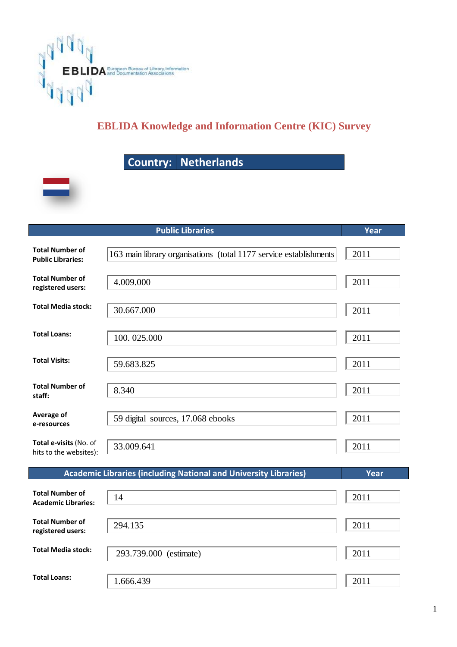

## **EBLIDA Knowledge and Information Centre (KIC) Survey**

## Country: Netherlands



|                                                      | Year                                                                    |      |
|------------------------------------------------------|-------------------------------------------------------------------------|------|
| <b>Total Number of</b><br><b>Public Libraries:</b>   | 163 main library organisations (total 1177 service establishments       | 2011 |
| <b>Total Number of</b><br>registered users:          | 4.009.000                                                               | 2011 |
| <b>Total Media stock:</b>                            | 30.667.000                                                              | 2011 |
| <b>Total Loans:</b>                                  | 100.025.000                                                             | 2011 |
| <b>Total Visits:</b>                                 | 59.683.825                                                              | 2011 |
| <b>Total Number of</b><br>staff:                     | 8.340                                                                   | 2011 |
| Average of<br>e-resources                            | 59 digital sources, 17.068 ebooks                                       | 2011 |
| Total e-visits (No. of<br>hits to the websites):     | 33.009.641                                                              | 2011 |
|                                                      | <b>Academic Libraries (including National and University Libraries)</b> | Year |
| <b>Total Number of</b><br><b>Academic Libraries:</b> | 14                                                                      | 2011 |
| <b>Total Number of</b><br>registered users:          | 294.135                                                                 | 2011 |
| <b>Total Media stock:</b>                            | 293.739.000 (estimate)                                                  | 2011 |
| <b>Total Loans:</b>                                  | 1.666.439                                                               | 2011 |